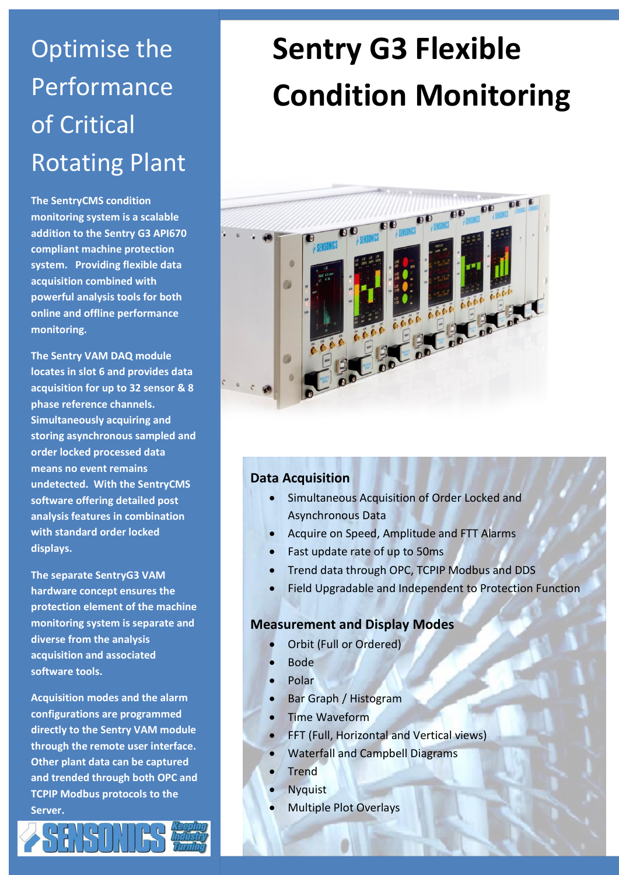# Optimise the Performance of Critical Rotating Plant

**The SentryCMS condition monitoring system is a scalable addition to the Sentry G3 API670 compliant machine protection system. Providing flexible data acquisition combined with powerful analysis tools for both online and offline performance monitoring.**

**The Sentry VAM DAQ module locates in slot 6 and provides data acquisition for up to 32 sensor & 8 phase reference channels. Simultaneously acquiring and storing asynchronous sampled and order locked processed data means no event remains undetected. With the SentryCMS software offering detailed post analysis features in combination with standard order locked displays.** 

**The separate SentryG3 VAM hardware concept ensures the protection element of the machine monitoring system is separate and diverse from the analysis acquisition and associated software tools.** 

**Acquisition modes and the alarm configurations are programmed directly to the Sentry VAM module through the remote user interface. Other plant data can be captured and trended through both OPC and TCPIP Modbus protocols to the Server.**

# **Condition Monitoring**

**Sentry G3 Flexible**



#### **Data Acquisition**

- Simultaneous Acquisition of Order Locked and Asynchronous Data
- Acquire on Speed, Amplitude and FTT Alarms
- Fast update rate of up to 50ms
- Trend data through OPC, TCPIP Modbus and DDS
- Field Upgradable and Independent to Protection Function

#### **Measurement and Display Modes**

- Orbit (Full or Ordered)
- Bode
- Polar
- Bar Graph / Histogram
- Time Waveform
- FFT (Full, Horizontal and Vertical views)
- Waterfall and Campbell Diagrams
- Trend
- Nyquist
- Multiple Plot Overlays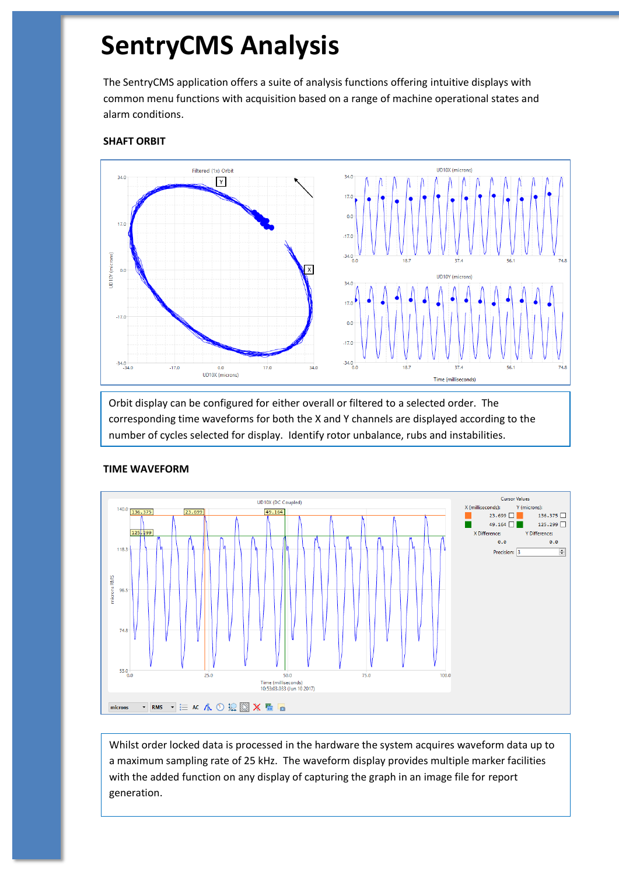## **SentryCMS Analysis**

The SentryCMS application offers a suite of analysis functions offering intuitive displays with common menu functions with acquisition based on a range of machine operational states and alarm conditions.

#### **SHAFT ORBIT**



Orbit display can be configured for either overall or filtered to a selected order. The corresponding time waveforms for both the X and Y channels are displayed according to the number of cycles selected for display. Identify rotor unbalance, rubs and instabilities.



#### **TIME WAVEFORM**

Whilst order locked data is processed in the hardware the system acquires waveform data up to a maximum sampling rate of 25 kHz. The waveform display provides multiple marker facilities with the added function on any display of capturing the graph in an image file for report generation.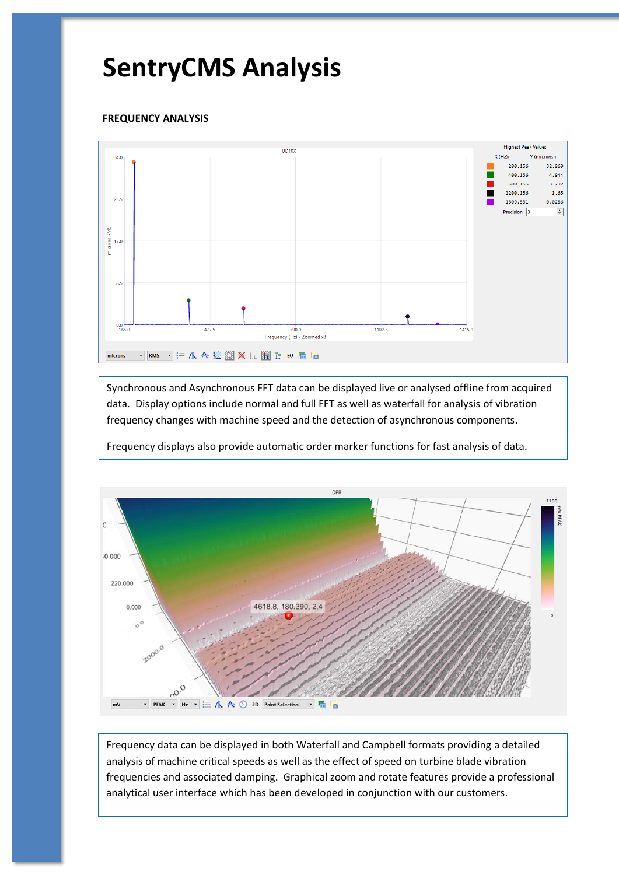## **SentryCMS Analysis**

#### **FREQUENCY ANALYSIS**



Synchronous and Asynchronous FFT data can be displayed live or analysed offline from acquired data. Display options include normal and full FFT as well as waterfall for analysis of vibration frequency changes with machine speed and the detection of asynchronous components.

Frequency displays also provide automatic order marker functions for fast analysis of data.



Frequency data can be displayed in both Waterfall and Campbell formats providing a detailed analysis of machine critical speeds as well as the effect of speed on turbine blade vibration frequencies and associated damping. Graphical zoom and rotate features provide a professional analytical user interface which has been developed in conjunction with our customers.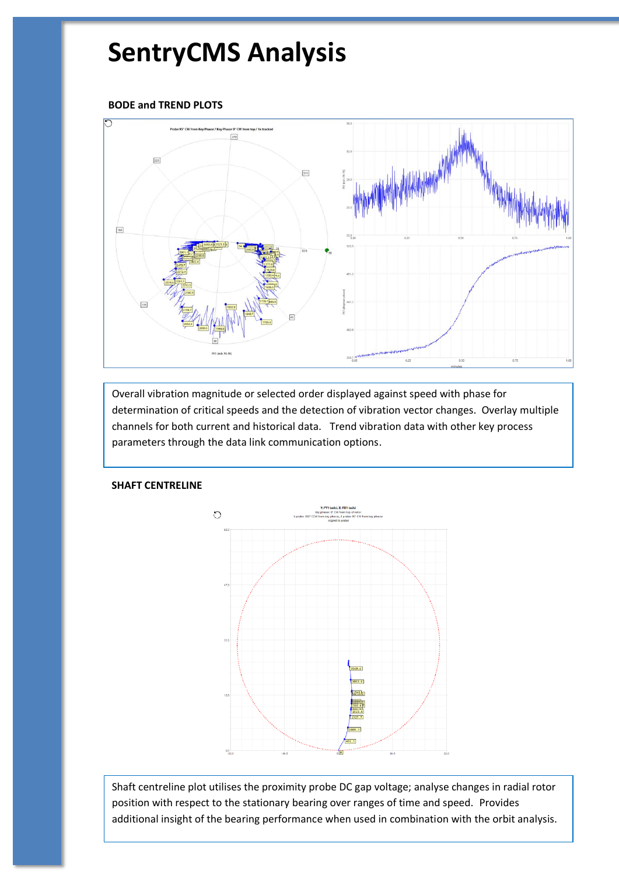## **SentryCMS Analysis**

#### **BODE and TREND PLOTS**



Overall vibration magnitude or selected order displayed against speed with phase for determination of critical speeds and the detection of vibration vector changes. Overlay multiple channels for both current and historical data. Trend vibration data with other key process parameters through the data link communication options.



#### Shaft centreline plot utilises the proximity probe DC gap voltage; analyse changes in radial rotor position with respect to the stationary bearing over ranges of time and speed. Provides additional insight of the bearing performance when used in combination with the orbit analysis.

#### **SHAFT CENTRELINE**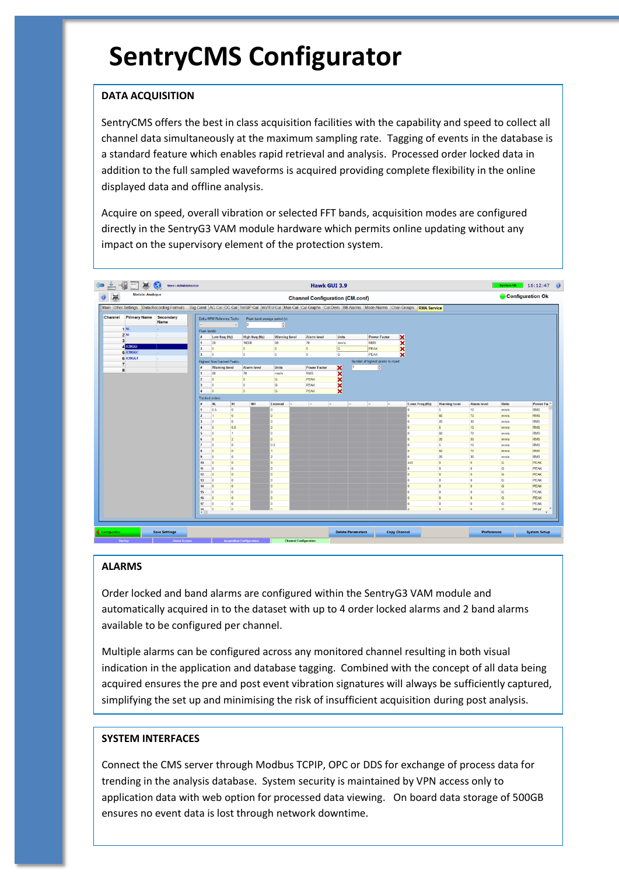## **SentryCMS Configurator**

#### **DATA ACQUISITION**

SentryCMS offers the best in class acquisition facilities with the capability and speed to collect all channel data simultaneously at the maximum sampling rate. Tagging of events in the database is a standard feature which enables rapid retrieval and analysis. Processed order locked data in addition to the full sampled waveforms is acquired providing complete flexibility in the online displayed data and offline analysis.

Acquire on speed, overall vibration or selected FFT bands, acquisition modes are configured directly in the SentryG3 VAM module hardware which permits online updating without any impact on the supervisory element of the protection system.



#### **ALARMS**

Order locked and band alarms are configured within the SentryG3 VAM module and automatically acquired in to the dataset with up to 4 order locked alarms and 2 band alarms available to be configured per channel.

Multiple alarms can be configured across any monitored channel resulting in both visual indication in the application and database tagging. Combined with the concept of all data being acquired ensures the pre and post event vibration signatures will always be sufficiently captured, simplifying the set up and minimising the risk of insufficient acquisition during post analysis.

#### **SYSTEM INTERFACES**

Connect the CMS server through Modbus TCPIP, OPC or DDS for exchange of process data for trending in the analysis database. System security is maintained by VPN access only to application data with web option for processed data viewing. On board data storage of 500GB ensures no event data is lost through network downtime.